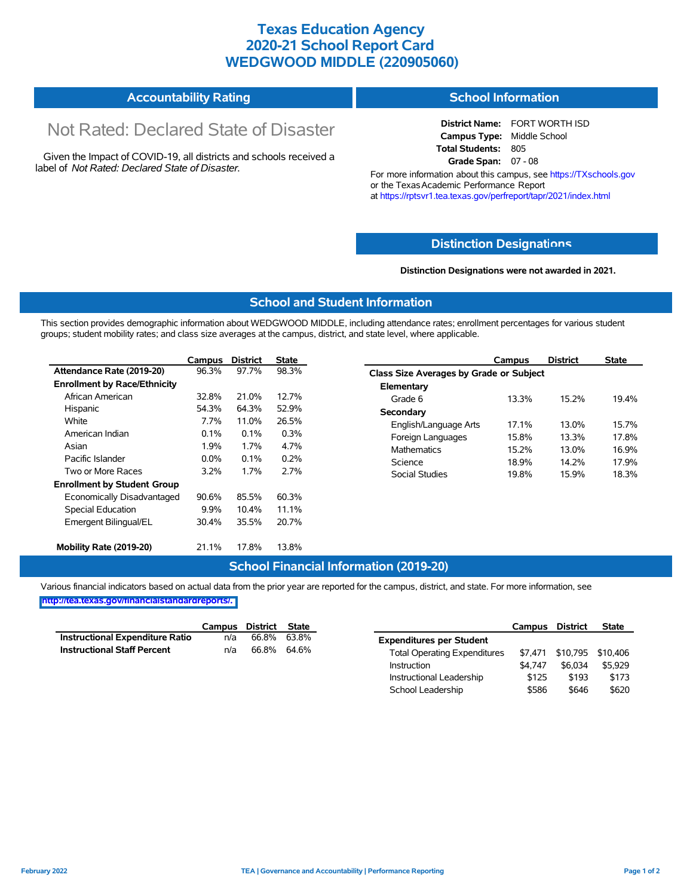## **Texas Education Agency 2020-21 School Report Card WEDGWOOD MIDDLE (220905060)**

#### **Accountability Rating School Information**

# Not Rated: Declared State of Disaster

Given the Impact of COVID-19, all districts and schools received a label of *Not Rated: Declared State of Disaster.*

**District Name:** FORT WORTH ISD **Campus Type:** Middle School **Total Students:** 805 **Grade Span:** 07 - 08

For more information about this campus, see https://TXschools.gov or the Texas Academic Performance Report at https://rptsvr1.tea.texas.gov/perfreport/tapr/2021/index.html

#### **Distinction Designat[ions](https://TXschools.gov)**

**Distinction Designations were not awarded in 2021.**

School Leadership  $$586$  \$646 \$620

#### **School and Student Information**

This section provides demographic information about WEDGWOOD MIDDLE, including attendance rates; enrollment percentages for various student groups; student mobility rates; and class size averages at the campus, district, and state level, where applicable.

|                                     | Campus                                         | <b>District</b>       | <b>State</b>            |                         | Campus                                  | <b>District</b>    | <b>State</b> |  |  |  |
|-------------------------------------|------------------------------------------------|-----------------------|-------------------------|-------------------------|-----------------------------------------|--------------------|--------------|--|--|--|
| Attendance Rate (2019-20)           | 96.3%                                          | 97.7%                 | 98.3%                   |                         | Class Size Averages by Grade or Subject |                    |              |  |  |  |
| <b>Enrollment by Race/Ethnicity</b> |                                                |                       |                         | Elementary              |                                         |                    |              |  |  |  |
| African American                    | 32.8%                                          | 21.0%                 | 12.7%                   | Grade 6                 | 13.3%                                   | 15.2%              | 19.4%        |  |  |  |
| Hispanic                            | 54.3%                                          | 64.3%                 | 52.9%                   | Secondary               |                                         |                    |              |  |  |  |
| White                               | 7.7%<br>11.0%<br>26.5%<br>0.1%<br>0.3%<br>0.1% | English/Language Arts | 17.1%<br>15.8%<br>15.2% | 13.0%<br>13.3%<br>13.0% | 15.7%<br>17.8%<br>16.9%                 |                    |              |  |  |  |
| American Indian                     |                                                | Foreign Languages     |                         |                         |                                         |                    |              |  |  |  |
| Asian                               | 1.9%<br>1.7%<br>4.7%                           |                       |                         |                         |                                         | <b>Mathematics</b> |              |  |  |  |
| Pacific Islander                    | $0.0\%$                                        | 0.1%                  | 0.2%                    | Science                 | 18.9%                                   | 14.2%              | 17.9%        |  |  |  |
| Two or More Races                   | 3.2%                                           | 1.7%                  | 2.7%                    | Social Studies          | 19.8%                                   | 15.9%              | 18.3%        |  |  |  |
| <b>Enrollment by Student Group</b>  |                                                |                       |                         |                         |                                         |                    |              |  |  |  |
| Economically Disadvantaged          | 90.6%                                          | 85.5%                 | 60.3%                   |                         |                                         |                    |              |  |  |  |
| Special Education                   | 9.9%                                           | 10.4%                 | 11.1%                   |                         |                                         |                    |              |  |  |  |
| Emergent Bilingual/EL               | 30.4%                                          | 35.5%                 | 20.7%                   |                         |                                         |                    |              |  |  |  |
|                                     |                                                |                       |                         |                         |                                         |                    |              |  |  |  |
| Mobility Rate (2019-20)             | 21.1%                                          | 17.8%                 | 13.8%                   |                         |                                         |                    |              |  |  |  |

#### **School Financial Information (2019-20)**

Various financial indicators based on actual data from the prior year are reported for the campus, district, and state. For more information, see

**[http://tea.texas.gov/financialstandardreports/.](http://tea.texas.gov/financialstandardreports/)**

|                                        | Campus | District | State       |                                     | Campus  | <b>District</b>           | <b>State</b> |
|----------------------------------------|--------|----------|-------------|-------------------------------------|---------|---------------------------|--------------|
| <b>Instructional Expenditure Ratio</b> | n/a    | 66.8%    | 63.8%       | <b>Expenditures per Student</b>     |         |                           |              |
| <b>Instructional Staff Percent</b>     | n/a    |          | 66.8% 64.6% | <b>Total Operating Expenditures</b> |         | \$7,471 \$10,795 \$10,406 |              |
|                                        |        |          |             | Instruction                         | \$4.747 | \$6.034                   | \$5.929      |
|                                        |        |          |             | Instructional Leadership            | \$125   | \$193                     | \$173        |